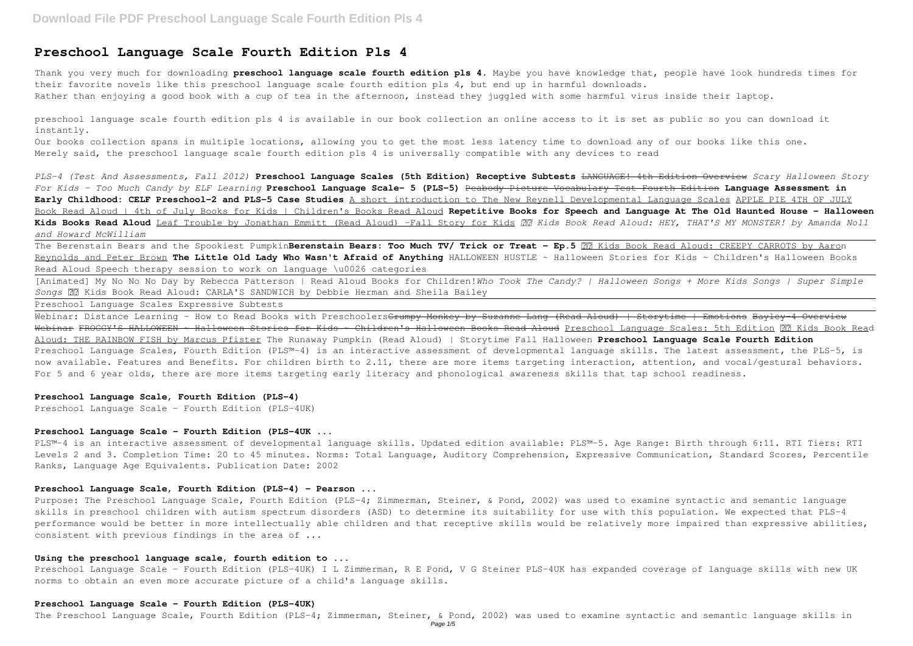Thank you very much for downloading **preschool language scale fourth edition pls 4**. Maybe you have knowledge that, people have look hundreds times for their favorite novels like this preschool language scale fourth edition pls 4, but end up in harmful downloads. Rather than enjoying a good book with a cup of tea in the afternoon, instead they juggled with some harmful virus inside their laptop.

# **Preschool Language Scale Fourth Edition Pls 4**

preschool language scale fourth edition pls 4 is available in our book collection an online access to it is set as public so you can download it instantly.

Our books collection spans in multiple locations, allowing you to get the most less latency time to download any of our books like this one. Merely said, the preschool language scale fourth edition pls 4 is universally compatible with any devices to read

The Berenstain Bears and the Spookiest PumpkinBerenstain Bears: Too Much TV/ Trick or Treat - Ep.5 **22 Kids Book Read Aloud: CREEPY CARROTS** by Aaron Reynolds and Peter Brown **The Little Old Lady Who Wasn't Afraid of Anything** HALLOWEEN HUSTLE ~ Halloween Stories for Kids ~ Children's Halloween Books Read Aloud Speech therapy session to work on language \u0026 categories

*PLS-4 (Test And Assessments, Fall 2012)* **Preschool Language Scales (5th Edition) Receptive Subtests** LANGUAGE! 4th Edition Overview *Scary Halloween Story For Kids - Too Much Candy by ELF Learning* **Preschool Language Scale- 5 (PLS-5)** Peabody Picture Vocabulary Test Fourth Edition **Language Assessment in Early Childhood: CELF Preschool-2 and PLS-5 Case Studies** A short introduction to The New Reynell Developmental Language Scales APPLE PIE 4TH OF JULY Book Read Aloud | 4th of July Books for Kids | Children's Books Read Aloud **Repetitive Books for Speech and Language At The Old Haunted House - Halloween Kids Books Read Aloud** Leaf Trouble by Jonathan Emmitt (Read Aloud) -Fall Story for Kids  *Kids Book Read Aloud: HEY, THAT'S MY MONSTER! by Amanda Noll and Howard McWilliam*

Purpose: The Preschool Language Scale, Fourth Edition (PLS-4; Zimmerman, Steiner, & Pond, 2002) was used to examine syntactic and semantic language skills in preschool children with autism spectrum disorders (ASD) to determine its suitability for use with this population. We expected that PLS-4 performance would be better in more intellectually able children and that receptive skills would be relatively more impaired than expressive abilities, consistent with previous findings in the area of ...

[Animated] My No No No Day by Rebecca Patterson | Read Aloud Books for Children!*Who Took The Candy? | Halloween Songs + More Kids Songs | Super Simple Songs* Kids Book Read Aloud: CARLA'S SANDWICH by Debbie Herman and Sheila Bailey

Preschool Language Scale - Fourth Edition (PLS-4UK) I L Zimmerman, R E Pond, V G Steiner PLS-4UK has expanded coverage of language skills with new UK norms to obtain an even more accurate picture of a child's language skills.

Preschool Language Scales Expressive Subtests

Webinar: Distance Learning - How to Read Books with Preschoolers<del>Grumpy Monkey by Suzanne Lang (Read Aloud) | Storytime | Emotions Bayley-4 Overview</del> Webinar FROGGY'S HALLOWEEN ~ Halloween Stories for Kids ~ Children's Halloween Books Read Aloud Preschool Language Scales: 5th Edition Kids Book Read Aloud: THE RAINBOW FISH by Marcus Pfister The Runaway Pumpkin (Read Aloud) | Storytime Fall Halloween **Preschool Language Scale Fourth Edition** Preschool Language Scales, Fourth Edition (PLS™-4) is an interactive assessment of developmental language skills. The latest assessment, the PLS-5, is now available. Features and Benefits. For children birth to 2.11, there are more items targeting interaction, attention, and vocal/gestural behaviors. For 5 and 6 year olds, there are more items targeting early literacy and phonological awareness skills that tap school readiness.

## **Preschool Language Scale, Fourth Edition (PLS-4)**

Preschool Language Scale - Fourth Edition (PLS-4UK)

# **Preschool Language Scale - Fourth Edition (PLS-4UK ...**

PLS™-4 is an interactive assessment of developmental language skills. Updated edition available: PLS™-5. Age Range: Birth through 6:11. RTI Tiers: RTI Levels 2 and 3. Completion Time: 20 to 45 minutes. Norms: Total Language, Auditory Comprehension, Expressive Communication, Standard Scores, Percentile Ranks, Language Age Equivalents. Publication Date: 2002

# **Preschool Language Scale, Fourth Edition (PLS-4) - Pearson ...**

# **Using the preschool language scale, fourth edition to ...**

#### **Preschool Language Scale - Fourth Edition (PLS-4UK)**

The Preschool Language Scale, Fourth Edition (PLS–4; Zimmerman, Steiner, & Pond, 2002) was used to examine syntactic and semantic language skills in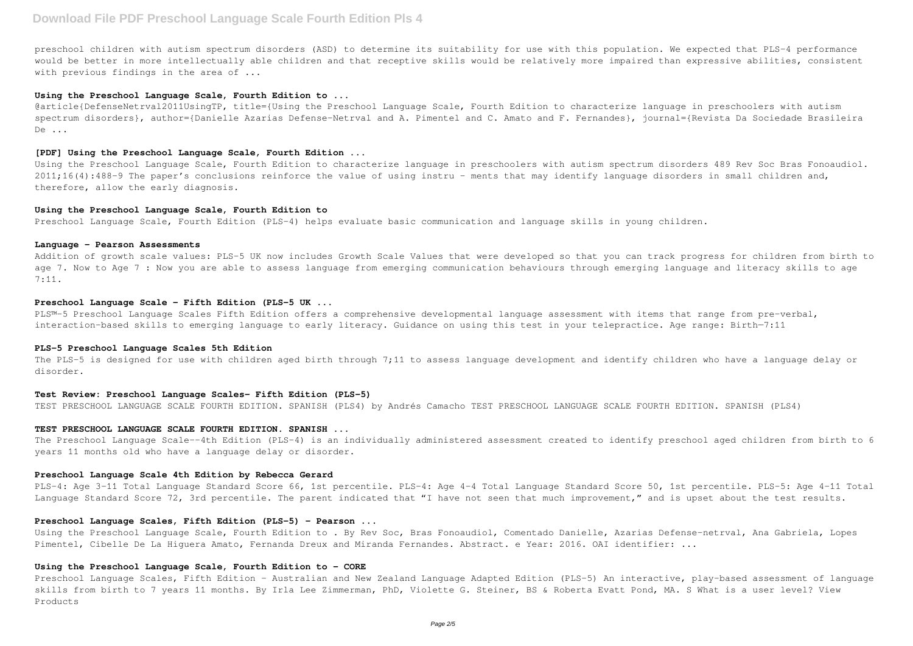preschool children with autism spectrum disorders (ASD) to determine its suitability for use with this population. We expected that PLS–4 performance would be better in more intellectually able children and that receptive skills would be relatively more impaired than expressive abilities, consistent with previous findings in the area of ...

## **Using the Preschool Language Scale, Fourth Edition to ...**

@article{DefenseNetrval2011UsingTP, title={Using the Preschool Language Scale, Fourth Edition to characterize language in preschoolers with autism spectrum disorders}, author={Danielle Azarias Defense-Netrval and A. Pimentel and C. Amato and F. Fernandes}, journal={Revista Da Sociedade Brasileira De ...

#### **[PDF] Using the Preschool Language Scale, Fourth Edition ...**

Using the Preschool Language Scale, Fourth Edition to characterize language in preschoolers with autism spectrum disorders 489 Rev Soc Bras Fonoaudiol. 2011;16(4):488-9 The paper's conclusions reinforce the value of using instru - ments that may identify language disorders in small children and, therefore, allow the early diagnosis.

PLS™-5 Preschool Language Scales Fifth Edition offers a comprehensive developmental language assessment with items that range from pre-verbal, interaction-based skills to emerging language to early literacy. Guidance on using this test in your telepractice. Age range: Birth—7:11

#### **Using the Preschool Language Scale, Fourth Edition to**

Preschool Language Scale, Fourth Edition (PLS-4) helps evaluate basic communication and language skills in young children.

## **Language - Pearson Assessments**

Addition of growth scale values: PLS-5 UK now includes Growth Scale Values that were developed so that you can track progress for children from birth to age 7. Now to Age 7 : Now you are able to assess language from emerging communication behaviours through emerging language and literacy skills to age 7:11.

# **Preschool Language Scale - Fifth Edition (PLS-5 UK ...**

# **PLS-5 Preschool Language Scales 5th Edition**

The PLS-5 is designed for use with children aged birth through 7;11 to assess language development and identify children who have a language delay or disorder.

# **Test Review: Preschool Language Scales- Fifth Edition (PLS-5)**

TEST PRESCHOOL LANGUAGE SCALE FOURTH EDITION. SPANISH (PLS4) by Andrés Camacho TEST PRESCHOOL LANGUAGE SCALE FOURTH EDITION. SPANISH (PLS4)

## **TEST PRESCHOOL LANGUAGE SCALE FOURTH EDITION. SPANISH ...**

The Preschool Language Scale--4th Edition (PLS-4) is an individually administered assessment created to identify preschool aged children from birth to 6 years 11 months old who have a language delay or disorder.

#### **Preschool Language Scale 4th Edition by Rebecca Gerard**

PLS-4: Age 3-11 Total Language Standard Score 66, 1st percentile. PLS-4: Age 4-4 Total Language Standard Score 50, 1st percentile. PLS-5: Age 4-11 Total Language Standard Score 72, 3rd percentile. The parent indicated that "I have not seen that much improvement," and is upset about the test results.

# **Preschool Language Scales, Fifth Edition (PLS-5) - Pearson ...**

Using the Preschool Language Scale, Fourth Edition to . By Rev Soc, Bras Fonoaudiol, Comentado Danielle, Azarias Defense-netrval, Ana Gabriela, Lopes Pimentel, Cibelle De La Higuera Amato, Fernanda Dreux and Miranda Fernandes. Abstract. e Year: 2016. OAI identifier: ...

# **Using the Preschool Language Scale, Fourth Edition to - CORE**

Preschool Language Scales, Fifth Edition - Australian and New Zealand Language Adapted Edition (PLS-5) An interactive, play-based assessment of language skills from birth to 7 years 11 months. By Irla Lee Zimmerman, PhD, Violette G. Steiner, BS & Roberta Evatt Pond, MA. S What is a user level? View Products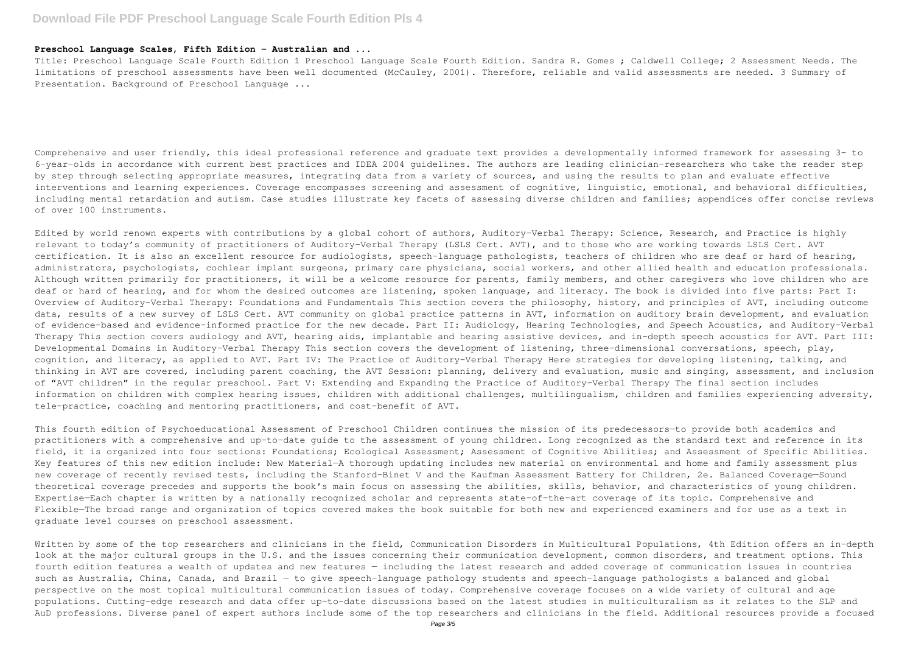# **Preschool Language Scales, Fifth Edition - Australian and ...**

Title: Preschool Language Scale Fourth Edition 1 Preschool Language Scale Fourth Edition. Sandra R. Gomes ; Caldwell College; 2 Assessment Needs. The limitations of preschool assessments have been well documented (McCauley, 2001). Therefore, reliable and valid assessments are needed. 3 Summary of Presentation. Background of Preschool Language ...

Comprehensive and user friendly, this ideal professional reference and graduate text provides a developmentally informed framework for assessing 3- to 6-year-olds in accordance with current best practices and IDEA 2004 guidelines. The authors are leading clinician-researchers who take the reader step by step through selecting appropriate measures, integrating data from a variety of sources, and using the results to plan and evaluate effective interventions and learning experiences. Coverage encompasses screening and assessment of cognitive, linguistic, emotional, and behavioral difficulties, including mental retardation and autism. Case studies illustrate key facets of assessing diverse children and families; appendices offer concise reviews of over 100 instruments.

Edited by world renown experts with contributions by a global cohort of authors, Auditory-Verbal Therapy: Science, Research, and Practice is highly relevant to today's community of practitioners of Auditory-Verbal Therapy (LSLS Cert. AVT), and to those who are working towards LSLS Cert. AVT certification. It is also an excellent resource for audiologists, speech-language pathologists, teachers of children who are deaf or hard of hearing, administrators, psychologists, cochlear implant surgeons, primary care physicians, social workers, and other allied health and education professionals. Although written primarily for practitioners, it will be a welcome resource for parents, family members, and other caregivers who love children who are deaf or hard of hearing, and for whom the desired outcomes are listening, spoken language, and literacy. The book is divided into five parts: Part I: Overview of Auditory-Verbal Therapy: Foundations and Fundamentals This section covers the philosophy, history, and principles of AVT, including outcome data, results of a new survey of LSLS Cert. AVT community on global practice patterns in AVT, information on auditory brain development, and evaluation of evidence-based and evidence-informed practice for the new decade. Part II: Audiology, Hearing Technologies, and Speech Acoustics, and Auditory-Verbal Therapy This section covers audiology and AVT, hearing aids, implantable and hearing assistive devices, and in-depth speech acoustics for AVT. Part III: Developmental Domains in Auditory-Verbal Therapy This section covers the development of listening, three-dimensional conversations, speech, play, cognition, and literacy, as applied to AVT. Part IV: The Practice of Auditory-Verbal Therapy Here strategies for developing listening, talking, and thinking in AVT are covered, including parent coaching, the AVT Session: planning, delivery and evaluation, music and singing, assessment, and inclusion of "AVT children" in the regular preschool. Part V: Extending and Expanding the Practice of Auditory-Verbal Therapy The final section includes information on children with complex hearing issues, children with additional challenges, multilingualism, children and families experiencing adversity, tele-practice, coaching and mentoring practitioners, and cost-benefit of AVT.

Written by some of the top researchers and clinicians in the field, Communication Disorders in Multicultural Populations, 4th Edition offers an in-depth look at the major cultural groups in the U.S. and the issues concerning their communication development, common disorders, and treatment options. This fourth edition features a wealth of updates and new features — including the latest research and added coverage of communication issues in countries such as Australia, China, Canada, and Brazil — to give speech-language pathology students and speech-language pathologists a balanced and global perspective on the most topical multicultural communication issues of today. Comprehensive coverage focuses on a wide variety of cultural and age populations. Cutting-edge research and data offer up-to-date discussions based on the latest studies in multiculturalism as it relates to the SLP and AuD professions. Diverse panel of expert authors include some of the top researchers and clinicians in the field. Additional resources provide a focused

This fourth edition of Psychoeducational Assessment of Preschool Children continues the mission of its predecessors—to provide both academics and practitioners with a comprehensive and up-to-date guide to the assessment of young children. Long recognized as the standard text and reference in its field, it is organized into four sections: Foundations; Ecological Assessment; Assessment of Cognitive Abilities; and Assessment of Specific Abilities. Key features of this new edition include: New Material—A thorough updating includes new material on environmental and home and family assessment plus new coverage of recently revised tests, including the Stanford-Binet V and the Kaufman Assessment Battery for Children, 2e. Balanced Coverage—Sound theoretical coverage precedes and supports the book's main focus on assessing the abilities, skills, behavior, and characteristics of young children. Expertise—Each chapter is written by a nationally recognized scholar and represents state-of-the-art coverage of its topic. Comprehensive and Flexible—The broad range and organization of topics covered makes the book suitable for both new and experienced examiners and for use as a text in graduate level courses on preschool assessment.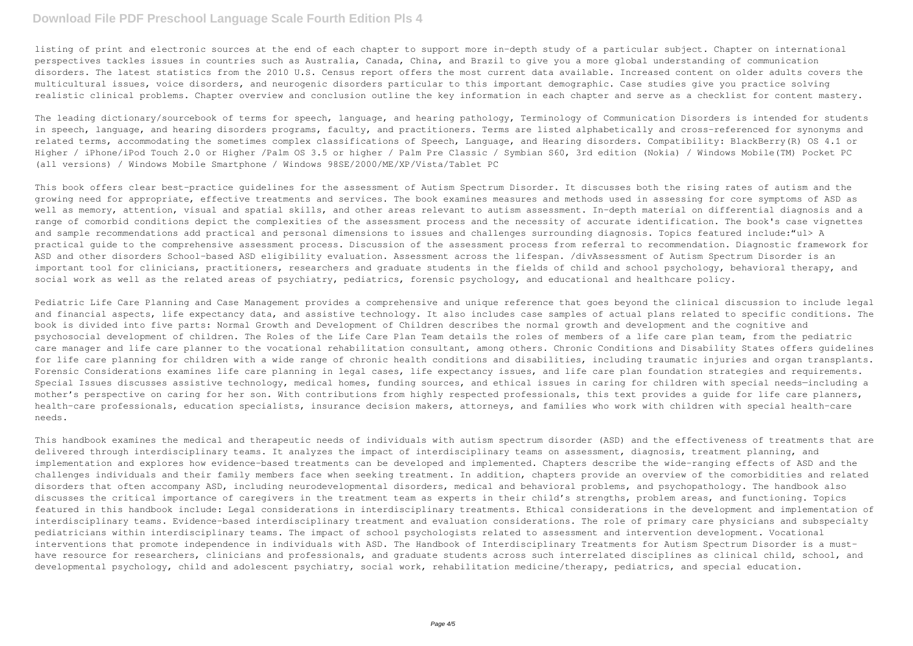listing of print and electronic sources at the end of each chapter to support more in-depth study of a particular subject. Chapter on international perspectives tackles issues in countries such as Australia, Canada, China, and Brazil to give you a more global understanding of communication disorders. The latest statistics from the 2010 U.S. Census report offers the most current data available. Increased content on older adults covers the multicultural issues, voice disorders, and neurogenic disorders particular to this important demographic. Case studies give you practice solving realistic clinical problems. Chapter overview and conclusion outline the key information in each chapter and serve as a checklist for content mastery.

The leading dictionary/sourcebook of terms for speech, language, and hearing pathology, Terminology of Communication Disorders is intended for students in speech, language, and hearing disorders programs, faculty, and practitioners. Terms are listed alphabetically and cross-referenced for synonyms and related terms, accommodating the sometimes complex classifications of Speech, Language, and Hearing disorders. Compatibility: BlackBerry(R) OS 4.1 or Higher / iPhone/iPod Touch 2.0 or Higher /Palm OS 3.5 or higher / Palm Pre Classic / Symbian S60, 3rd edition (Nokia) / Windows Mobile(TM) Pocket PC (all versions) / Windows Mobile Smartphone / Windows 98SE/2000/ME/XP/Vista/Tablet PC

This book offers clear best-practice guidelines for the assessment of Autism Spectrum Disorder. It discusses both the rising rates of autism and the growing need for appropriate, effective treatments and services. The book examines measures and methods used in assessing for core symptoms of ASD as well as memory, attention, visual and spatial skills, and other areas relevant to autism assessment. In-depth material on differential diagnosis and a range of comorbid conditions depict the complexities of the assessment process and the necessity of accurate identification. The book's case vignettes and sample recommendations add practical and personal dimensions to issues and challenges surrounding diagnosis. Topics featured include:"ul> A practical guide to the comprehensive assessment process. Discussion of the assessment process from referral to recommendation. Diagnostic framework for ASD and other disorders School-based ASD eligibility evaluation. Assessment across the lifespan. /divAssessment of Autism Spectrum Disorder is an important tool for clinicians, practitioners, researchers and graduate students in the fields of child and school psychology, behavioral therapy, and social work as well as the related areas of psychiatry, pediatrics, forensic psychology, and educational and healthcare policy.

Pediatric Life Care Planning and Case Management provides a comprehensive and unique reference that goes beyond the clinical discussion to include legal and financial aspects, life expectancy data, and assistive technology. It also includes case samples of actual plans related to specific conditions. The book is divided into five parts: Normal Growth and Development of Children describes the normal growth and development and the cognitive and psychosocial development of children. The Roles of the Life Care Plan Team details the roles of members of a life care plan team, from the pediatric care manager and life care planner to the vocational rehabilitation consultant, among others. Chronic Conditions and Disability States offers guidelines for life care planning for children with a wide range of chronic health conditions and disabilities, including traumatic injuries and organ transplants. Forensic Considerations examines life care planning in legal cases, life expectancy issues, and life care plan foundation strategies and requirements. Special Issues discusses assistive technology, medical homes, funding sources, and ethical issues in caring for children with special needs-including a mother's perspective on caring for her son. With contributions from highly respected professionals, this text provides a guide for life care planners, health-care professionals, education specialists, insurance decision makers, attorneys, and families who work with children with special health-care needs.

This handbook examines the medical and therapeutic needs of individuals with autism spectrum disorder (ASD) and the effectiveness of treatments that are delivered through interdisciplinary teams. It analyzes the impact of interdisciplinary teams on assessment, diagnosis, treatment planning, and implementation and explores how evidence-based treatments can be developed and implemented. Chapters describe the wide-ranging effects of ASD and the challenges individuals and their family members face when seeking treatment. In addition, chapters provide an overview of the comorbidities and related disorders that often accompany ASD, including neurodevelopmental disorders, medical and behavioral problems, and psychopathology. The handbook also discusses the critical importance of caregivers in the treatment team as experts in their child's strengths, problem areas, and functioning. Topics featured in this handbook include: Legal considerations in interdisciplinary treatments. Ethical considerations in the development and implementation of interdisciplinary teams. Evidence-based interdisciplinary treatment and evaluation considerations. The role of primary care physicians and subspecialty pediatricians within interdisciplinary teams. The impact of school psychologists related to assessment and intervention development. Vocational interventions that promote independence in individuals with ASD. The Handbook of Interdisciplinary Treatments for Autism Spectrum Disorder is a musthave resource for researchers, clinicians and professionals, and graduate students across such interrelated disciplines as clinical child, school, and developmental psychology, child and adolescent psychiatry, social work, rehabilitation medicine/therapy, pediatrics, and special education.